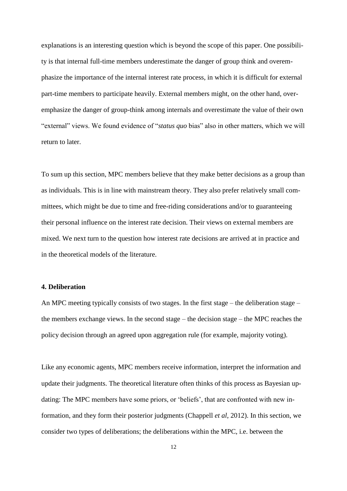in maximizing their influence on the decisions. The larger the committee, the less likely it is that a particular member will be the median voter.

# **3.3 The value of outsiders**

One aspect of the composition of an MPC that has received much attention in the literature is the inclusion of external members. One could argue that MPC members should be heterogeneous in order to prevent a high positive correlation in individual judgment errors. Related to this, Sibert (2006) argues that external members help avoid "group-think", which occurs when the committee members' striving for consensus makes them stop paying sufficient attention to alternative courses of action. The committee may then make worse decisions than any of its members would have made on his own.

In the Riksbank's MPC all members are internal; they are employed full time by the Riksbank and have their offices there. With few exceptions, however, members have been recruited from outside the bank, for example from the financial sector or academia. The Executive Board of Norges Bank consists of five external members working part-time, in addition to the two internal full-time members (the Governor and the Deputy Governor). The external members have various backgrounds, including the business sector, academia and politics. To investigate the views of two groups' of policymakers on the issue of internal versus external members, we first asked the **Riksbank members** to what extent they thought the following statements on the composition of MPCs applied:

## 1. Outside perspective:

Having external members **would contribute** to better decisions as it adds information, knowledge and an "outside perspective".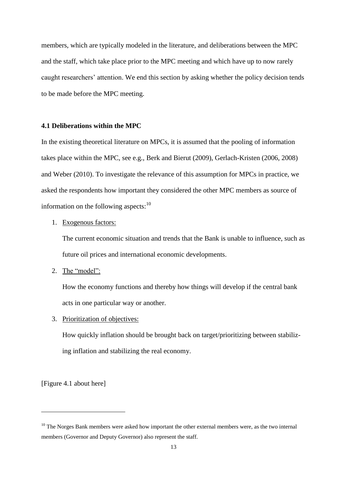### 2. Part-time membership better:

If one or more of the six members of the Riksbank's Executive Board was employed part-time, this would require less resources without the monetary policy decisions being of poorer quality.

#### The **Norges Bank members** were asked:

1. Outside perspective:

Having external members **contributes** to better decisions as it adds information, knowledge and an "outside perspective".

3. Full-time membership better: Monetary policy decisions would be better if the members of the Norges Bank Executive Board were full-time members.

The responses are shown in Figure 3.3. The Riksbank members did not tend to support the view that having external members would provide a useful "outside perspective" on the decisions, although the dispersion in the responses was quite large. The Norges Bank members, however, gave quite strong support to the statement.

[Figure 3.3 about here]

When the Riksbank members were asked if they thought that being part-time instead of fulltime members would require less resources without leading to poorer decisions, most members disagreed. The Norges Bank members were asked if they thought that decisions would be better with full-time employment, and they were equally negative to this. There was thus a tendency of MPC members to defend their own respective systems. Whether this tendency reflects some type of cognitive bias (e.g., overconfidence or confirmation bias) or has other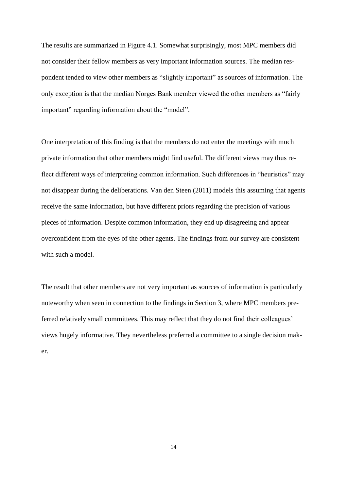explanations is an interesting question which is beyond the scope of this paper. One possibility is that internal full-time members underestimate the danger of group think and overemphasize the importance of the internal interest rate process, in which it is difficult for external part-time members to participate heavily. External members might, on the other hand, overemphasize the danger of group-think among internals and overestimate the value of their own "external" views. We found evidence of "*status quo* bias" also in other matters, which we will return to later.

To sum up this section, MPC members believe that they make better decisions as a group than as individuals. This is in line with mainstream theory. They also prefer relatively small committees, which might be due to time and free-riding considerations and/or to guaranteeing their personal influence on the interest rate decision. Their views on external members are mixed. We next turn to the question how interest rate decisions are arrived at in practice and in the theoretical models of the literature.

### **4. Deliberation**

An MPC meeting typically consists of two stages. In the first stage – the deliberation stage – the members exchange views. In the second stage – the decision stage – the MPC reaches the policy decision through an agreed upon aggregation rule (for example, majority voting).

Like any economic agents, MPC members receive information, interpret the information and update their judgments. The theoretical literature often thinks of this process as Bayesian updating: The MPC members have some priors, or 'beliefs', that are confronted with new information, and they form their posterior judgments (Chappell *et al*, 2012). In this section, we consider two types of deliberations; the deliberations within the MPC, i.e. between the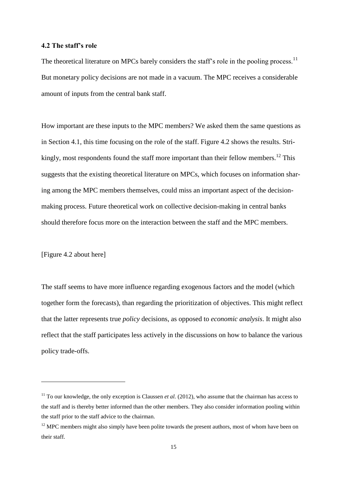members, which are typically modeled in the literature, and deliberations between the MPC and the staff, which take place prior to the MPC meeting and which have up to now rarely caught researchers' attention. We end this section by asking whether the policy decision tends to be made before the MPC meeting.

## **4.1 Deliberations within the MPC**

In the existing theoretical literature on MPCs, it is assumed that the pooling of information takes place within the MPC, see e.g., Berk and Bierut (2009), Gerlach-Kristen (2006, 2008) and Weber (2010). To investigate the relevance of this assumption for MPCs in practice, we asked the respondents how important they considered the other MPC members as source of information on the following aspects: $10$ 

### 1. Exogenous factors:

The current economic situation and trends that the Bank is unable to influence, such as future oil prices and international economic developments.

2. The "model":

How the economy functions and thereby how things will develop if the central bank acts in one particular way or another.

3. Prioritization of objectives:

How quickly inflation should be brought back on target/prioritizing between stabilizing inflation and stabilizing the real economy.

[Figure 4.1 about here]

 $\overline{a}$ 

 $10$  The Norges Bank members were asked how important the other external members were, as the two internal members (Governor and Deputy Governor) also represent the staff.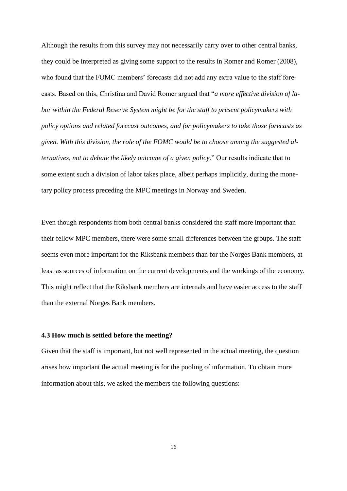The results are summarized in Figure 4.1. Somewhat surprisingly, most MPC members did not consider their fellow members as very important information sources. The median respondent tended to view other members as "slightly important" as sources of information. The only exception is that the median Norges Bank member viewed the other members as "fairly important" regarding information about the "model".

One interpretation of this finding is that the members do not enter the meetings with much private information that other members might find useful. The different views may thus reflect different ways of interpreting common information. Such differences in "heuristics" may not disappear during the deliberations. Van den Steen (2011) models this assuming that agents receive the same information, but have different priors regarding the precision of various pieces of information. Despite common information, they end up disagreeing and appear overconfident from the eyes of the other agents. The findings from our survey are consistent with such a model.

The result that other members are not very important as sources of information is particularly noteworthy when seen in connection to the findings in Section 3, where MPC members preferred relatively small committees. This may reflect that they do not find their colleagues' views hugely informative. They nevertheless preferred a committee to a single decision maker.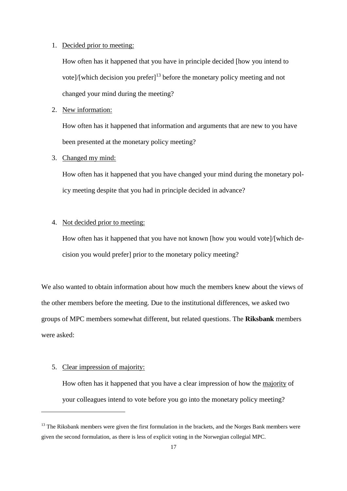# **4.2 The staff's role**

The theoretical literature on MPCs barely considers the staff's role in the pooling process.<sup>11</sup> But monetary policy decisions are not made in a vacuum. The MPC receives a considerable amount of inputs from the central bank staff.

How important are these inputs to the MPC members? We asked them the same questions as in Section 4.1, this time focusing on the role of the staff. Figure 4.2 shows the results. Strikingly, most respondents found the staff more important than their fellow members.<sup>12</sup> This suggests that the existing theoretical literature on MPCs, which focuses on information sharing among the MPC members themselves, could miss an important aspect of the decisionmaking process. Future theoretical work on collective decision-making in central banks should therefore focus more on the interaction between the staff and the MPC members.

[Figure 4.2 about here]

 $\overline{a}$ 

The staff seems to have more influence regarding exogenous factors and the model (which together form the forecasts), than regarding the prioritization of objectives. This might reflect that the latter represents true *policy* decisions, as opposed to *economic analysis*. It might also reflect that the staff participates less actively in the discussions on how to balance the various policy trade-offs.

<sup>&</sup>lt;sup>11</sup> To our knowledge, the only exception is Claussen *et al.* (2012), who assume that the chairman has access to the staff and is thereby better informed than the other members. They also consider information pooling within the staff prior to the staff advice to the chairman.

<sup>&</sup>lt;sup>12</sup> MPC members might also simply have been polite towards the present authors, most of whom have been on their staff.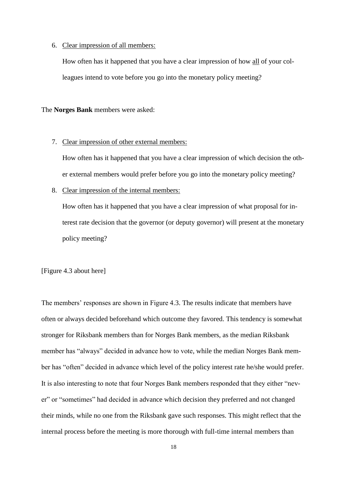Although the results from this survey may not necessarily carry over to other central banks, they could be interpreted as giving some support to the results in Romer and Romer (2008), who found that the FOMC members' forecasts did not add any extra value to the staff forecasts. Based on this, Christina and David Romer argued that "*a more effective division of labor within the Federal Reserve System might be for the staff to present policymakers with policy options and related forecast outcomes, and for policymakers to take those forecasts as given. With this division, the role of the FOMC would be to choose among the suggested alternatives, not to debate the likely outcome of a given policy*." Our results indicate that to some extent such a division of labor takes place, albeit perhaps implicitly, during the monetary policy process preceding the MPC meetings in Norway and Sweden.

Even though respondents from both central banks considered the staff more important than their fellow MPC members, there were some small differences between the groups. The staff seems even more important for the Riksbank members than for the Norges Bank members, at least as sources of information on the current developments and the workings of the economy. This might reflect that the Riksbank members are internals and have easier access to the staff than the external Norges Bank members.

# **4.3 How much is settled before the meeting?**

Given that the staff is important, but not well represented in the actual meeting, the question arises how important the actual meeting is for the pooling of information. To obtain more information about this, we asked the members the following questions:

16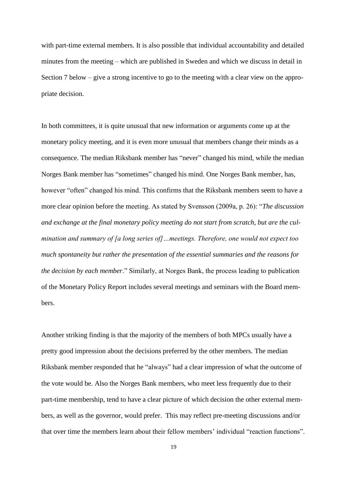### 1. Decided prior to meeting:

How often has it happened that you have in principle decided [how you intend to vote]/[which decision you prefer]<sup>13</sup> before the monetary policy meeting and not changed your mind during the meeting?

### 2. New information:

How often has it happened that information and arguments that are new to you have been presented at the monetary policy meeting?

# 3. Changed my mind:

How often has it happened that you have changed your mind during the monetary policy meeting despite that you had in principle decided in advance?

# 4. Not decided prior to meeting:

How often has it happened that you have not known [how you would vote]/[which decision you would prefer] prior to the monetary policy meeting?

We also wanted to obtain information about how much the members knew about the views of the other members before the meeting. Due to the institutional differences, we asked two groups of MPC members somewhat different, but related questions. The **Riksbank** members were asked:

# 5. Clear impression of majority:

 $\overline{a}$ 

How often has it happened that you have a clear impression of how the majority of your colleagues intend to vote before you go into the monetary policy meeting?

 $13$  The Riksbank members were given the first formulation in the brackets, and the Norges Bank members were given the second formulation, as there is less of explicit voting in the Norwegian collegial MPC.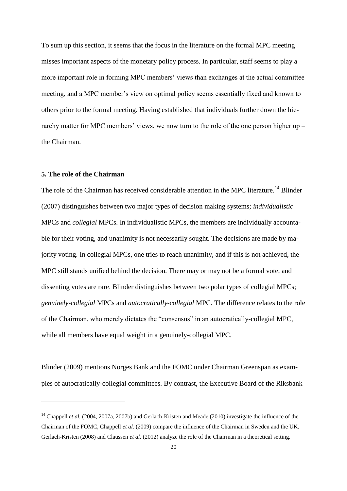### 6. Clear impression of all members:

How often has it happened that you have a clear impression of how all of your colleagues intend to vote before you go into the monetary policy meeting?

The **Norges Bank** members were asked:

#### 7. Clear impression of other external members:

How often has it happened that you have a clear impression of which decision the other external members would prefer before you go into the monetary policy meeting?

### 8. Clear impression of the internal members:

How often has it happened that you have a clear impression of what proposal for interest rate decision that the governor (or deputy governor) will present at the monetary policy meeting?

[Figure 4.3 about here]

The members' responses are shown in Figure 4.3. The results indicate that members have often or always decided beforehand which outcome they favored. This tendency is somewhat stronger for Riksbank members than for Norges Bank members, as the median Riksbank member has "always" decided in advance how to vote, while the median Norges Bank member has "often" decided in advance which level of the policy interest rate he/she would prefer. It is also interesting to note that four Norges Bank members responded that they either "never" or "sometimes" had decided in advance which decision they preferred and not changed their minds, while no one from the Riksbank gave such responses. This might reflect that the internal process before the meeting is more thorough with full-time internal members than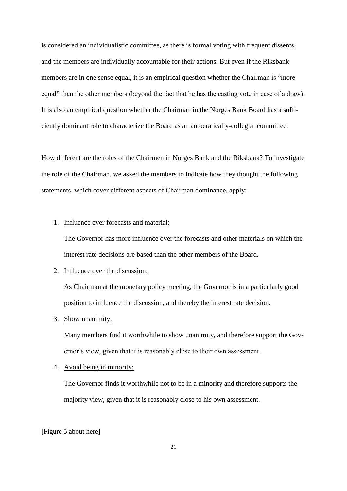with part-time external members. It is also possible that individual accountability and detailed minutes from the meeting – which are published in Sweden and which we discuss in detail in Section 7 below – give a strong incentive to go to the meeting with a clear view on the appropriate decision.

In both committees, it is quite unusual that new information or arguments come up at the monetary policy meeting, and it is even more unusual that members change their minds as a consequence. The median Riksbank member has "never" changed his mind, while the median Norges Bank member has "sometimes" changed his mind. One Norges Bank member, has, however "often" changed his mind. This confirms that the Riksbank members seem to have a more clear opinion before the meeting. As stated by Svensson (2009a, p. 26): "*The discussion and exchange at the final monetary policy meeting do not start from scratch, but are the culmination and summary of [a long series of]…meetings. Therefore, one would not expect too much spontaneity but rather the presentation of the essential summaries and the reasons for the decision by each member*." Similarly, at Norges Bank, the process leading to publication of the Monetary Policy Report includes several meetings and seminars with the Board members.

Another striking finding is that the majority of the members of both MPCs usually have a pretty good impression about the decisions preferred by the other members. The median Riksbank member responded that he "always" had a clear impression of what the outcome of the vote would be. Also the Norges Bank members, who meet less frequently due to their part-time membership, tend to have a clear picture of which decision the other external members, as well as the governor, would prefer. This may reflect pre-meeting discussions and/or that over time the members learn about their fellow members' individual "reaction functions".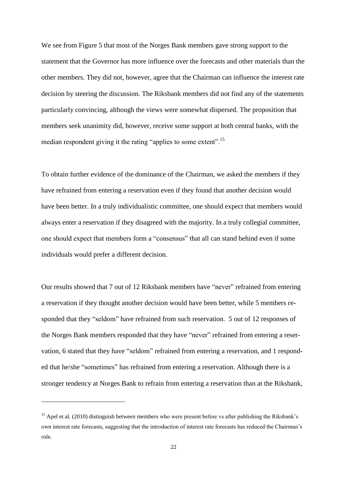To sum up this section, it seems that the focus in the literature on the formal MPC meeting misses important aspects of the monetary policy process. In particular, staff seems to play a more important role in forming MPC members' views than exchanges at the actual committee meeting, and a MPC member's view on optimal policy seems essentially fixed and known to others prior to the formal meeting. Having established that individuals further down the hierarchy matter for MPC members' views, we now turn to the role of the one person higher up – the Chairman.

# **5. The role of the Chairman**

 $\overline{a}$ 

The role of the Chairman has received considerable attention in the MPC literature.<sup>14</sup> Blinder (2007) distinguishes between two major types of decision making systems; *individualistic*  MPCs and *collegial* MPCs. In individualistic MPCs, the members are individually accountable for their voting, and unanimity is not necessarily sought. The decisions are made by majority voting. In collegial MPCs, one tries to reach unanimity, and if this is not achieved, the MPC still stands unified behind the decision. There may or may not be a formal vote, and dissenting votes are rare. Blinder distinguishes between two polar types of collegial MPCs; *genuinely-collegial* MPCs and *autocratically-collegial* MPC. The difference relates to the role of the Chairman, who merely dictates the "consensus" in an autocratically-collegial MPC, while all members have equal weight in a genuinely-collegial MPC.

Blinder (2009) mentions Norges Bank and the FOMC under Chairman Greenspan as examples of autocratically-collegial committees. By contrast, the Executive Board of the Riksbank

<sup>&</sup>lt;sup>14</sup> Chappell *et al.* (2004, 2007a, 2007b) and Gerlach-Kristen and Meade (2010) investigate the influence of the Chairman of the FOMC, Chappell *et al.* (2009) compare the influence of the Chairman in Sweden and the UK. Gerlach-Kristen (2008) and Claussen *et al.* (2012) analyze the role of the Chairman in a theoretical setting.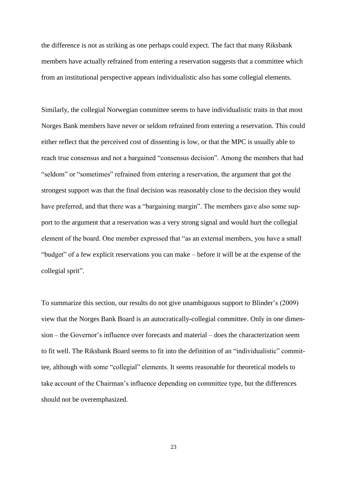is considered an individualistic committee, as there is formal voting with frequent dissents, and the members are individually accountable for their actions. But even if the Riksbank members are in one sense equal, it is an empirical question whether the Chairman is "more equal" than the other members (beyond the fact that he has the casting vote in case of a draw). It is also an empirical question whether the Chairman in the Norges Bank Board has a sufficiently dominant role to characterize the Board as an autocratically-collegial committee.

How different are the roles of the Chairmen in Norges Bank and the Riksbank? To investigate the role of the Chairman, we asked the members to indicate how they thought the following statements, which cover different aspects of Chairman dominance, apply:

### 1. Influence over forecasts and material:

The Governor has more influence over the forecasts and other materials on which the interest rate decisions are based than the other members of the Board.

## 2. Influence over the discussion:

As Chairman at the monetary policy meeting, the Governor is in a particularly good position to influence the discussion, and thereby the interest rate decision.

# 3. Show unanimity:

Many members find it worthwhile to show unanimity, and therefore support the Governor's view, given that it is reasonably close to their own assessment.

# 4. Avoid being in minority:

The Governor finds it worthwhile not to be in a minority and therefore supports the majority view, given that it is reasonably close to his own assessment.

# [Figure 5 about here]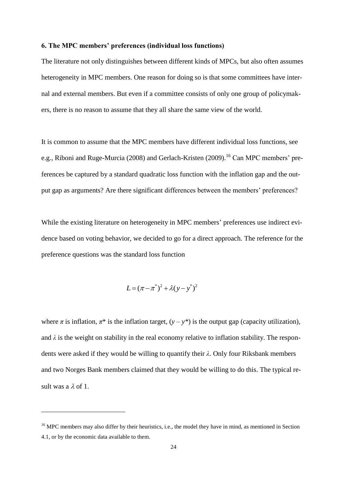We see from Figure 5 that most of the Norges Bank members gave strong support to the statement that the Governor has more influence over the forecasts and other materials than the other members. They did not, however, agree that the Chairman can influence the interest rate decision by steering the discussion. The Riksbank members did not find any of the statements particularly convincing, although the views were somewhat dispersed. The proposition that members seek unanimity did, however, receive some support at both central banks, with the median respondent giving it the rating "applies to some extent".<sup>15</sup>

To obtain further evidence of the dominance of the Chairman, we asked the members if they have refrained from entering a reservation even if they found that another decision would have been better. In a truly individualistic committee, one should expect that members would always enter a reservation if they disagreed with the majority. In a truly collegial committee, one should expect that members form a "consensus" that all can stand behind even if some individuals would prefer a different decision.

Our results showed that 7 out of 12 Riksbank members have "never" refrained from entering a reservation if they thought another decision would have been better, while 5 members responded that they "seldom" have refrained from such reservation. 5 out of 12 responses of the Norges Bank members responded that they have "never" refrained from entering a reservation, 6 stated that they have "seldom" refrained from entering a reservation, and 1 responded that he/she "sometimes" has refrained from entering a reservation. Although there is a stronger tendency at Norges Bank to refrain from entering a reservation than at the Riksbank,

 $\overline{a}$ 

<sup>&</sup>lt;sup>15</sup> Apel et al. (2010) distinguish between members who were present before vs after publishing the Riksbank's own interest rate forecasts, suggesting that the introduction of interest rate forecasts has reduced the Chairman's role.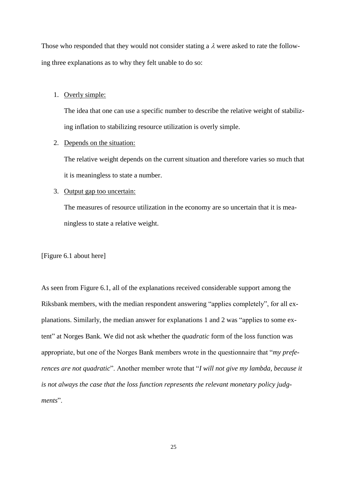the difference is not as striking as one perhaps could expect. The fact that many Riksbank members have actually refrained from entering a reservation suggests that a committee which from an institutional perspective appears individualistic also has some collegial elements.

Similarly, the collegial Norwegian committee seems to have individualistic traits in that most Norges Bank members have never or seldom refrained from entering a reservation. This could either reflect that the perceived cost of dissenting is low, or that the MPC is usually able to reach true consensus and not a bargained "consensus decision". Among the members that had "seldom" or "sometimes" refrained from entering a reservation, the argument that got the strongest support was that the final decision was reasonably close to the decision they would have preferred, and that there was a "bargaining margin". The members gave also some support to the argument that a reservation was a very strong signal and would hurt the collegial element of the board. One member expressed that "as an external members, you have a small "budget" of a few explicit reservations you can make – before it will be at the expense of the collegial sprit".

To summarize this section, our results do not give unambiguous support to Blinder's (2009) view that the Norges Bank Board is an autocratically-collegial committee. Only in one dimension – the Governor's influence over forecasts and material – does the characterization seem to fit well. The Riksbank Board seems to fit into the definition of an "individualistic" committee, although with some "collegial" elements. It seems reasonable for theoretical models to take account of the Chairman's influence depending on committee type, but the differences should not be overemphasized.

23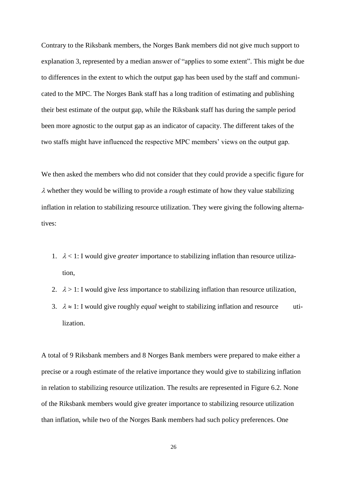### **6. The MPC members' preferences (individual loss functions)**

The literature not only distinguishes between different kinds of MPCs, but also often assumes heterogeneity in MPC members. One reason for doing so is that some committees have internal and external members. But even if a committee consists of only one group of policymakers, there is no reason to assume that they all share the same view of the world.

It is common to assume that the MPC members have different individual loss functions, see e.g., Riboni and Ruge-Murcia (2008) and Gerlach-Kristen (2009).<sup>16</sup> Can MPC members' preferences be captured by a standard quadratic loss function with the inflation gap and the output gap as arguments? Are there significant differences between the members' preferences?

While the existing literature on heterogeneity in MPC members' preferences use indirect evidence based on voting behavior, we decided to go for a direct approach. The reference for the preference questions was the standard loss function

$$
L = (\pi - \pi^*)^2 + \lambda (y - y^*)^2
$$

where  $\pi$  is inflation,  $\pi^*$  is the inflation target,  $(y - y^*)$  is the output gap (capacity utilization), and  $\lambda$  is the weight on stability in the real economy relative to inflation stability. The respondents were asked if they would be willing to quantify their *λ*. Only four Riksbank members and two Norges Bank members claimed that they would be willing to do this. The typical result was a  $\lambda$  of 1.

 $\overline{a}$ 

<sup>&</sup>lt;sup>16</sup> MPC members may also differ by their heuristics, i.e., the model they have in mind, as mentioned in Section 4.1, or by the economic data available to them.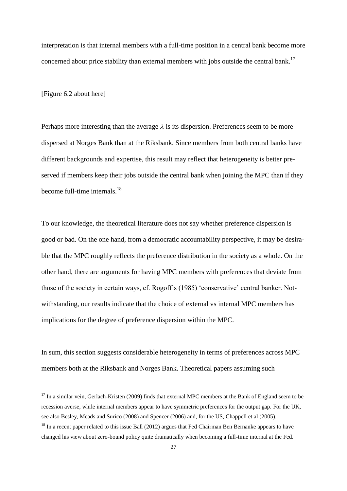Those who responded that they would not consider stating a  $\lambda$  were asked to rate the following three explanations as to why they felt unable to do so:

### 1. Overly simple:

The idea that one can use a specific number to describe the relative weight of stabilizing inflation to stabilizing resource utilization is overly simple.

### 2. Depends on the situation:

The relative weight depends on the current situation and therefore varies so much that it is meaningless to state a number.

# 3. Output gap too uncertain:

The measures of resource utilization in the economy are so uncertain that it is meaningless to state a relative weight.

[Figure 6.1 about here]

As seen from Figure 6.1, all of the explanations received considerable support among the Riksbank members, with the median respondent answering "applies completely", for all explanations. Similarly, the median answer for explanations 1 and 2 was "applies to some extent" at Norges Bank. We did not ask whether the *quadratic* form of the loss function was appropriate, but one of the Norges Bank members wrote in the questionnaire that "*my preferences are not quadratic*". Another member wrote that "*I will not give my lambda, because it is not always the case that the loss function represents the relevant monetary policy judgments*".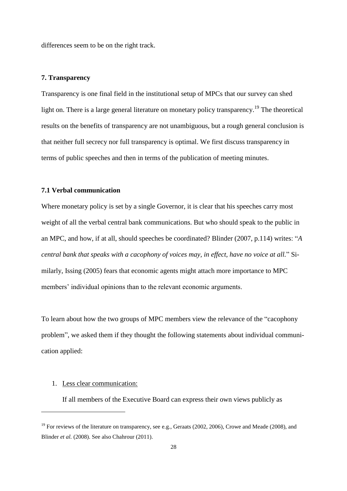Contrary to the Riksbank members, the Norges Bank members did not give much support to explanation 3, represented by a median answer of "applies to some extent". This might be due to differences in the extent to which the output gap has been used by the staff and communicated to the MPC. The Norges Bank staff has a long tradition of estimating and publishing their best estimate of the output gap, while the Riksbank staff has during the sample period been more agnostic to the output gap as an indicator of capacity. The different takes of the two staffs might have influenced the respective MPC members' views on the output gap.

We then asked the members who did not consider that they could provide a specific figure for  $\lambda$  whether they would be willing to provide a *rough* estimate of how they value stabilizing inflation in relation to stabilizing resource utilization. They were giving the following alternatives:

- 1.  $\lambda$  < 1: I would give *greater* importance to stabilizing inflation than resource utilization,
- 2.  $\lambda > 1$ : I would give *less* importance to stabilizing inflation than resource utilization,
- 3.  $\lambda \approx 1$ : I would give roughly *equal* weight to stabilizing inflation and resource utilization.

A total of 9 Riksbank members and 8 Norges Bank members were prepared to make either a precise or a rough estimate of the relative importance they would give to stabilizing inflation in relation to stabilizing resource utilization. The results are represented in Figure 6.2. None of the Riksbank members would give greater importance to stabilizing resource utilization than inflation, while two of the Norges Bank members had such policy preferences. One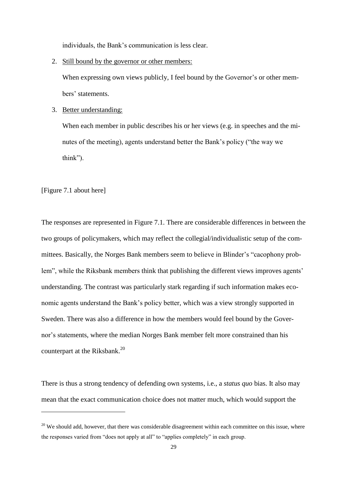interpretation is that internal members with a full-time position in a central bank become more concerned about price stability than external members with jobs outside the central bank.<sup>17</sup>

[Figure 6.2 about here]

 $\overline{a}$ 

Perhaps more interesting than the average  $\lambda$  is its dispersion. Preferences seem to be more dispersed at Norges Bank than at the Riksbank. Since members from both central banks have different backgrounds and expertise, this result may reflect that heterogeneity is better preserved if members keep their jobs outside the central bank when joining the MPC than if they become full-time internals. $^{18}$ 

To our knowledge, the theoretical literature does not say whether preference dispersion is good or bad. On the one hand, from a democratic accountability perspective, it may be desirable that the MPC roughly reflects the preference distribution in the society as a whole. On the other hand, there are arguments for having MPC members with preferences that deviate from those of the society in certain ways, cf. Rogoff's (1985) 'conservative' central banker. Notwithstanding, our results indicate that the choice of external vs internal MPC members has implications for the degree of preference dispersion within the MPC.

In sum, this section suggests considerable heterogeneity in terms of preferences across MPC members both at the Riksbank and Norges Bank. Theoretical papers assuming such

 $17$  In a similar vein, Gerlach-Kristen (2009) finds that external MPC members at the Bank of England seem to be recession averse, while internal members appear to have symmetric preferences for the output gap. For the UK, see also Besley, Meads and Surico (2008) and Spencer (2006) and, for the US, Chappell et al (2005).

<sup>&</sup>lt;sup>18</sup> In a recent paper related to this issue Ball (2012) argues that Fed Chairman Ben Bernanke appears to have changed his view about zero-bound policy quite dramatically when becoming a full-time internal at the Fed.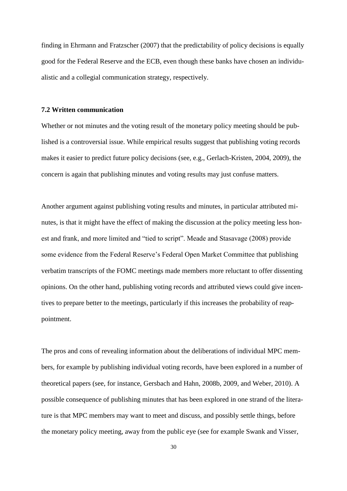differences seem to be on the right track.

### **7. Transparency**

Transparency is one final field in the institutional setup of MPCs that our survey can shed light on. There is a large general literature on monetary policy transparency.<sup>19</sup> The theoretical results on the benefits of transparency are not unambiguous, but a rough general conclusion is that neither full secrecy nor full transparency is optimal. We first discuss transparency in terms of public speeches and then in terms of the publication of meeting minutes.

# **7.1 Verbal communication**

Where monetary policy is set by a single Governor, it is clear that his speeches carry most weight of all the verbal central bank communications. But who should speak to the public in an MPC, and how, if at all, should speeches be coordinated? Blinder (2007, p.114) writes: "*A central bank that speaks with a cacophony of voices may, in effect, have no voice at all.*" Similarly, Issing (2005) fears that economic agents might attach more importance to MPC members' individual opinions than to the relevant economic arguments.

To learn about how the two groups of MPC members view the relevance of the "cacophony problem", we asked them if they thought the following statements about individual communication applied:

### 1. Less clear communication:

 $\overline{a}$ 

If all members of the Executive Board can express their own views publicly as

<sup>&</sup>lt;sup>19</sup> For reviews of the literature on transparency, see e.g., Geraats (2002, 2006), Crowe and Meade (2008), and Blinder *et al.* (2008). See also Chahrour (2011).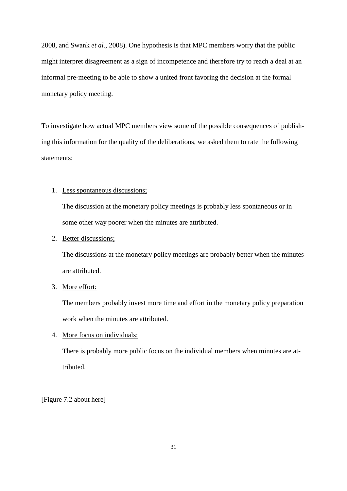individuals, the Bank's communication is less clear.

2. Still bound by the governor or other members:

When expressing own views publicly, I feel bound by the Governor's or other members' statements.

3. Better understanding:

When each member in public describes his or her views (e.g. in speeches and the minutes of the meeting), agents understand better the Bank's policy ("the way we think").

[Figure 7.1 about here]

 $\overline{a}$ 

The responses are represented in Figure 7.1. There are considerable differences in between the two groups of policymakers, which may reflect the collegial/individualistic setup of the committees. Basically, the Norges Bank members seem to believe in Blinder's "cacophony problem", while the Riksbank members think that publishing the different views improves agents' understanding. The contrast was particularly stark regarding if such information makes economic agents understand the Bank's policy better, which was a view strongly supported in Sweden. There was also a difference in how the members would feel bound by the Governor's statements, where the median Norges Bank member felt more constrained than his counterpart at the Riksbank.<sup>20</sup>

There is thus a strong tendency of defending own systems, i.e., a *status quo* bias. It also may mean that the exact communication choice does not matter much, which would support the

<sup>&</sup>lt;sup>20</sup> We should add, however, that there was considerable disagreement within each committee on this issue, where the responses varied from "does not apply at all" to "applies completely" in each group.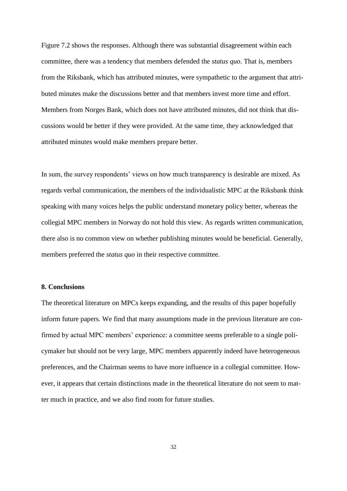finding in Ehrmann and Fratzscher (2007) that the predictability of policy decisions is equally good for the Federal Reserve and the ECB, even though these banks have chosen an individualistic and a collegial communication strategy, respectively.

#### **7.2 Written communication**

Whether or not minutes and the voting result of the monetary policy meeting should be published is a controversial issue. While empirical results suggest that publishing voting records makes it easier to predict future policy decisions (see, e.g., Gerlach-Kristen, 2004, 2009), the concern is again that publishing minutes and voting results may just confuse matters.

Another argument against publishing voting results and minutes, in particular attributed minutes, is that it might have the effect of making the discussion at the policy meeting less honest and frank, and more limited and "tied to script". Meade and Stasavage (2008) provide some evidence from the Federal Reserve's Federal Open Market Committee that publishing verbatim transcripts of the FOMC meetings made members more reluctant to offer dissenting opinions. On the other hand, publishing voting records and attributed views could give incentives to prepare better to the meetings, particularly if this increases the probability of reappointment.

The pros and cons of revealing information about the deliberations of individual MPC members, for example by publishing individual voting records, have been explored in a number of theoretical papers (see, for instance, Gersbach and Hahn, 2008b, 2009, and Weber, 2010). A possible consequence of publishing minutes that has been explored in one strand of the literature is that MPC members may want to meet and discuss, and possibly settle things, before the monetary policy meeting, away from the public eye (see for example Swank and Visser,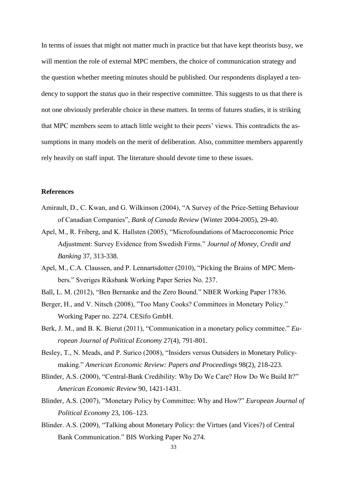2008, and Swank *et al.*, 2008). One hypothesis is that MPC members worry that the public might interpret disagreement as a sign of incompetence and therefore try to reach a deal at an informal pre-meeting to be able to show a united front favoring the decision at the formal monetary policy meeting.

To investigate how actual MPC members view some of the possible consequences of publishing this information for the quality of the deliberations, we asked them to rate the following statements:

# 1. Less spontaneous discussions;

The discussion at the monetary policy meetings is probably less spontaneous or in some other way poorer when the minutes are attributed.

# 2. Better discussions;

The discussions at the monetary policy meetings are probably better when the minutes are attributed.

### 3. More effort:

The members probably invest more time and effort in the monetary policy preparation work when the minutes are attributed.

4. More focus on individuals:

There is probably more public focus on the individual members when minutes are attributed.

[Figure 7.2 about here]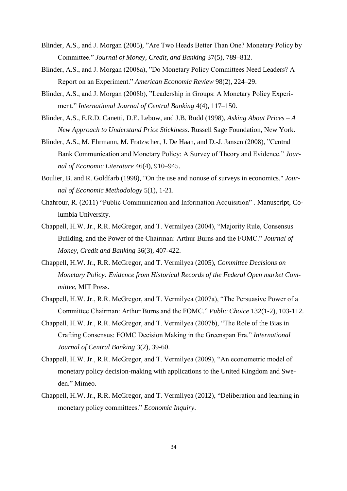Figure 7.2 shows the responses. Although there was substantial disagreement within each committee, there was a tendency that members defended the *status quo*. That is, members from the Riksbank, which has attributed minutes, were sympathetic to the argument that attributed minutes make the discussions better and that members invest more time and effort. Members from Norges Bank, which does not have attributed minutes, did not think that discussions would be better if they were provided. At the same time, they acknowledged that attributed minutes would make members prepare better.

In sum, the survey respondents' views on how much transparency is desirable are mixed. As regards verbal communication, the members of the individualistic MPC at the Riksbank think speaking with many voices helps the public understand monetary policy better, whereas the collegial MPC members in Norway do not hold this view. As regards written communication, there also is no common view on whether publishing minutes would be beneficial. Generally, members preferred the *status quo* in their respective committee.

# **8. Conclusions**

The theoretical literature on MPCs keeps expanding, and the results of this paper hopefully inform future papers. We find that many assumptions made in the previous literature are confirmed by actual MPC members' experience: a committee seems preferable to a single policymaker but should not be very large, MPC members apparently indeed have heterogeneous preferences, and the Chairman seems to have more influence in a collegial committee. However, it appears that certain distinctions made in the theoretical literature do not seem to matter much in practice, and we also find room for future studies.

32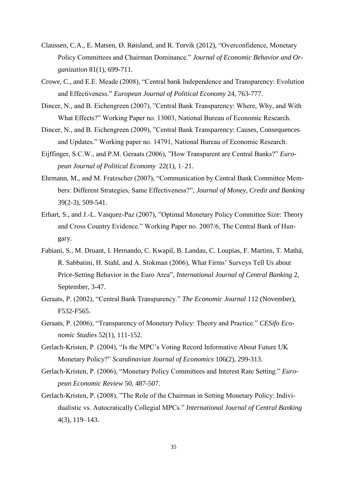In terms of issues that might not matter much in practice but that have kept theorists busy, we will mention the role of external MPC members, the choice of communication strategy and the question whether meeting minutes should be published. Our respondents displayed a tendency to support the *status quo* in their respective committee. This suggests to us that there is not one obviously preferable choice in these matters. In terms of futures studies, it is striking that MPC members seem to attach little weight to their peers' views. This contradicts the assumptions in many models on the merit of deliberation. Also, committee members apparently rely heavily on staff input. The literature should devote time to these issues.

# **References**

- Amirault, D., C. Kwan, and G. Wilkinson (2004), "A Survey of the Price-Setting Behaviour of Canadian Companies", *Bank of Canada Review* (Winter 2004-2005), 29-40.
- Apel, M., R. Friberg, and K. Hallsten (2005), "Microfoundations of Macroeconomic Price Adjustment: Survey Evidence from Swedish Firms." *Journal of Money, Credit and Banking* 37, 313-338.
- Apel, M., C.A. Claussen, and P. Lennartsdotter (2010), "Picking the Brains of MPC Members." Sveriges Riksbank Working Paper Series No. 237.
- Ball, L. M. (2012), "Ben Bernanke and the Zero Bound." NBER Working Paper 17836.
- Berger, H., and V. Nitsch (2008), "Too Many Cooks? Committees in Monetary Policy." Working Paper no. 2274. CESifo GmbH.
- Berk, J. M., and B. K. Bierut (2011), "Communication in a monetary policy committee." *European Journal of Political Economy* 27(4), 791-801.
- Besley, T., N. Meads, and P. Surico (2008), "Insiders versus Outsiders in Monetary Policymaking." *American Economic Review: Papers and Proceedings* 98(2), 218-223.
- Blinder, A.S. (2000), "Central-Bank Credibility: Why Do We Care? How Do We Build It?" *American Economic Review* 90, 1421-1431.
- Blinder, A.S. (2007), "Monetary Policy by Committee: Why and How?" *European Journal of Political Economy* 23, 106–123.
- Blinder. A.S. (2009), "Talking about Monetary Policy: the Virtues (and Vices?) of Central Bank Communication." BIS Working Paper No 274.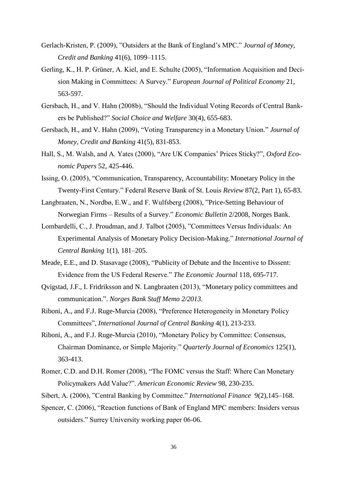- Blinder, A.S., and J. Morgan (2005), "Are Two Heads Better Than One? Monetary Policy by Committee." *Journal of Money, Credit, and Banking* 37(5), 789–812.
- Blinder, A.S., and J. Morgan (2008a), "Do Monetary Policy Committees Need Leaders? A Report on an Experiment." *American Economic Review* 98(2), 224–29.
- Blinder, A.S., and J. Morgan (2008b), "Leadership in Groups: A Monetary Policy Experiment." *International Journal of Central Banking* 4(4), 117–150.
- Blinder, A.S., E.R.D. Canetti, D.E. Lebow, and J.B. Rudd (1998), *Asking About Prices – A New Approach to Understand Price Stickiness.* Russell Sage Foundation, New York.
- Blinder, A.S., M. Ehrmann, M. Fratzscher, J. De Haan, and D.-J. Jansen (2008), "Central Bank Communication and Monetary Policy: A Survey of Theory and Evidence." *Journal of Economic Literature* 46(4), 910–945.
- Boulier, B. and R. Goldfarb (1998), ["On the use and nonuse of surveys in economics.](http://ideas.repec.org/a/taf/jecmet/v5y1998i1p1-21.html)" *[Jour](http://ideas.repec.org/s/taf/jecmet.html)[nal of Economic Methodology](http://ideas.repec.org/s/taf/jecmet.html)* 5(1), 1-21.
- Chahrour, R. (2011) "Public Communication and Information Acquisition" . Manuscript, Columbia University.
- Chappell, H.W. Jr., R.R. McGregor, and T. Vermilyea (2004), "Majority Rule, Consensus Building, and the Power of the Chairman: Arthur Burns and the FOMC." *Journal of Money, Credit and Banking* 36(3), 407-422.
- Chappell, H.W. Jr., R.R. McGregor, and T. Vermilyea (2005), *Committee Decisions on Monetary Policy: Evidence from Historical Records of the Federal Open market Committee*, MIT Press.
- Chappell, H.W. Jr., R.R. McGregor, and T. Vermilyea (2007a), "The Persuasive Power of a Committee Chairman: Arthur Burns and the FOMC." *Public Choice* 132(1-2), 103-112.
- Chappell, H.W. Jr., R.R. McGregor, and T. Vermilyea (2007b), "The Role of the Bias in Crafting Consensus: FOMC Decision Making in the Greenspan Era." *International Journal of Central Banking* 3(2), 39-60.
- Chappell, H.W. Jr., R.R. McGregor, and T. Vermilyea (2009), "An econometric model of monetary policy decision-making with applications to the United Kingdom and Sweden." Mimeo.
- Chappell, H.W. Jr., R.R. McGregor, and T. Vermilyea (2012), "Deliberation and learning in monetary policy committees." *Economic Inquiry*.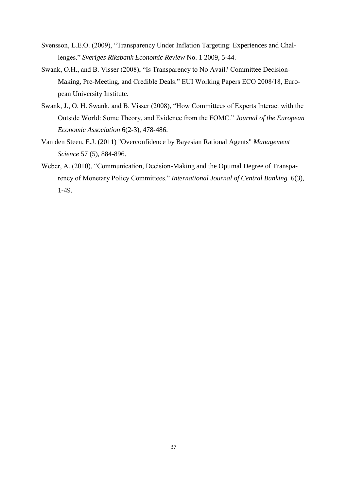- Claussen, C.A., E. Matsen, Ø. Røisland, and R. Torvik (2012), "Overconfidence, Monetary Policy Committees and Chairman Dominance." *Journal of Economic Behavior and Organization* 81(1), 699-711.
- Crowe, C., and E.E. Meade (2008), "Central bank Independence and Transparency: Evolution and Effectiveness." *European Journal of Political Economy* 24, 763-777.
- Dincer, N., and B. Eichengreen (2007), "Central Bank Transparency: Where, Why, and With What Effects?" Working Paper no. 13003, National Bureau of Economic Research.
- Dincer, N., and B. Eichengreen (2009), "Central Bank Transparency: Causes, Consequences and Updates." Working paper no. 14791, National Bureau of Economic Research.
- Eijffinger, S.C.W., and P.M. Geraats (2006), "How Transparent are Central Banks?" *European Journal of Political Economy* 22(1), 1–21.
- Ehrmann, M., and M. Fratzscher (2007), "Communication by Central Bank Committee Members: Different Strategies, Same Effectiveness?", *Journal of Money, Credit and Banking* 39(2-3), 509-541.
- Erhart, S., and J.-L. Vasquez-Paz (2007), "Optimal Monetary Policy Committee Size: Theory and Cross Country Evidence." Working Paper no. 2007/6, The Central Bank of Hungary.
- Fabiani, S., M. Druant, I. Hernando, C. Kwapil, B. Landau, C. Loupias, F. Martins, T. Mathä, R. Sabbatini, H. Stahl, and A. Stokman (2006), What Firms' Surveys Tell Us about Price-Setting Behavior in the Euro Area", *International Journal of Central Banking* 2, September, 3-47.
- Geraats, P. (2002), "Central Bank Transparency." *The Economic Journal* 112 (November), F532-F565.
- Geraats, P. (2006), "Transparency of Monetary Policy: Theory and Practice." *CESifo Economic Studies* 52(1), 111-152.
- Gerlach-Kristen, P. (2004), "Is the MPC's Voting Record Informative About Future UK Monetary Policy?" *Scandinavian Journal of Economics* 106(2), 299-313.
- Gerlach-Kristen, P. (2006), "Monetary Policy Committees and Interest Rate Setting." *European Economic Review* 50, 487-507.
- Gerlach-Kristen, P. (2008), "The Role of the Chairman in Setting Monetary Policy: Individualistic vs. Autocratically Collegial MPCs." *International Journal of Central Banking* 4(3), 119–143.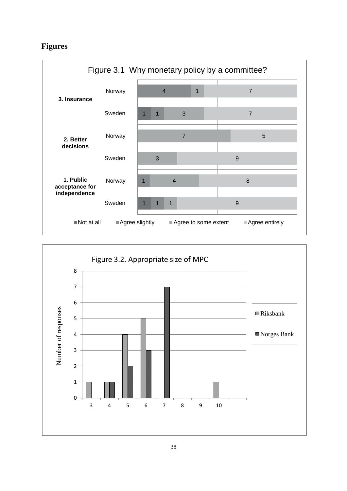- Gerlach-Kristen, P. (2009), "Outsiders at the Bank of England's MPC." *Journal of Money, Credit and Banking* 41(6), 1099–1115.
- Gerling, K., H. P. Grüner, A. Kiel, and E. Schulte (2005), "Information Acquisition and Decision Making in Committees: A Survey." *European Journal of Political Economy* 21, 563-597.
- Gersbach, H., and V. Hahn (2008b), "Should the Individual Voting Records of Central Bankers be Published?" *Social Choice and Welfare* 30(4), 655-683.
- Gersbach, H., and V. Hahn (2009), "Voting Transparency in a Monetary Union." *Journal of Money, Credit and Banking* 41(5), 831-853.
- Hall, S., M. Walsh, and A. Yates (2000), "Are UK Companies' Prices Sticky?", *Oxford Economic Papers* 52, 425-446.
- Issing, O. (2005), "Communication, Transparency, Accountability: Monetary Policy in the Twenty-First Century." Federal Reserve Bank of St. Louis *Review* 87(2, Part 1), 65-83.
- Langbraaten, N., Nordbø, E.W., and F. Wulfsberg (2008), "Price-Setting Behaviour of Norwegian Firms – Results of a Survey." *Economic Bulletin* 2/2008, Norges Bank.
- Lombardelli, C., J. Proudman, and J. Talbot (2005), "Committees Versus Individuals: An Experimental Analysis of Monetary Policy Decision-Making." *International Journal of Central Banking* 1(1), 181–205.
- Meade, E.E., and D. Stasavage (2008), "Publicity of Debate and the Incentive to Dissent: Evidence from the US Federal Reserve." *The Economic Journal* 118, 695-717.
- Qvigstad, J.F., I. Fridriksson and N. Langbraaten (2013), "Monetary policy committees and communication.". *Norges Bank Staff Memo 2/2013.*
- Riboni, A., and F.J. Ruge-Murcia (2008), "Preference Heterogeneity in Monetary Policy Committees", *International Journal of Central Banking* 4(1), 213-233.
- Riboni, A., and F.J. Ruge-Murcia (2010), "Monetary Policy by Committee: Consensus, Chairman Dominance, or Simple Majority." *Quarterly Journal of Economics* 125(1), 363-413.
- Romer, C.D. and D.H. Romer (2008), "The FOMC versus the Staff: Where Can Monetary Policymakers Add Value?". *American Economic Review* 98, 230-235.
- Sibert, A. (2006), "Central Banking by Committee." *International Finance* 9(2),145–168.
- Spencer, C. (2006), "Reaction functions of Bank of England MPC members: Insiders versus outsiders." Surrey University working paper 06-06.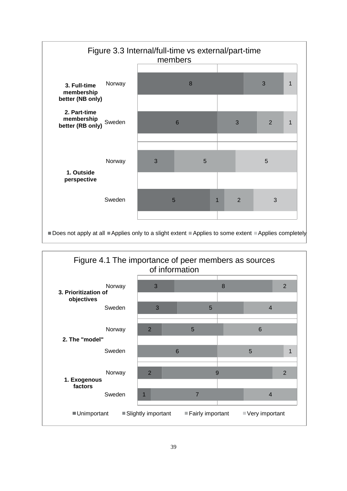- Svensson, L.E.O. (2009), "Transparency Under Inflation Targeting: Experiences and Challenges." *Sveriges Riksbank Economic Review* No. 1 2009, 5-44.
- Swank, O.H., and B. Visser (2008), "Is Transparency to No Avail? Committee Decision-Making, Pre-Meeting, and Credible Deals." EUI Working Papers ECO 2008/18, European University Institute.
- Swank, J., O. H. Swank, and B. Visser (2008), "How Committees of Experts Interact with the Outside World: Some Theory, and Evidence from the FOMC." *Journal of the European Economic Association* 6(2-3), 478-486.
- Van den Steen, E.J. (2011) "Overconfidence by Bayesian Rational Agents" *Management Science* 57 (5), 884-896.
- Weber, A. (2010), "Communication, Decision-Making and the Optimal Degree of Transparency of Monetary Policy Committees." *International Journal of Central Banking* 6(3), 1-49.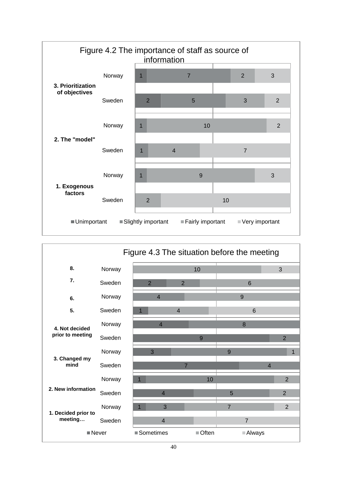# **Figures**



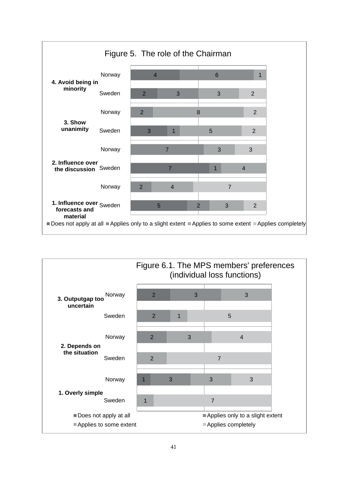

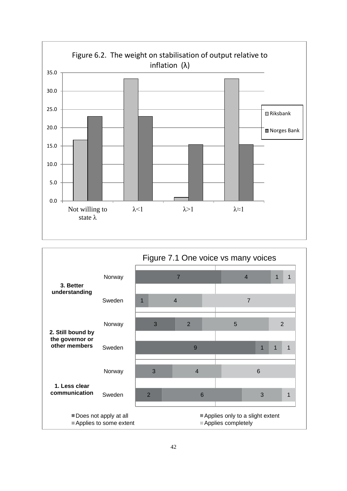

| Figure 4.3 The situation before the meeting |        |  |                |                |                |        |                |                 |                |                |   |
|---------------------------------------------|--------|--|----------------|----------------|----------------|--------|----------------|-----------------|----------------|----------------|---|
| 8.                                          | Norway |  |                |                |                | 10     |                |                 |                | 3              |   |
| 7.                                          | Sweden |  | $\overline{2}$ |                | $\overline{2}$ |        |                | 6               |                |                |   |
| 6.                                          | Norway |  | $\overline{4}$ |                |                |        |                | 9               |                |                |   |
| 5.                                          | Sweden |  |                |                | $\overline{4}$ |        |                | $6\phantom{1}$  |                |                |   |
| 4. Not decided                              | Norway |  |                | $\overline{4}$ |                |        |                | 8               |                |                |   |
| prior to meeting                            | Sweden |  |                |                |                | 9      |                |                 |                | $\overline{2}$ |   |
|                                             | Norway |  | 3              |                |                |        | 9              |                 |                |                | 1 |
| 3. Changed my<br>mind                       | Sweden |  |                |                | $\overline{7}$ |        |                |                 | $\overline{4}$ |                |   |
| 2. New information                          | Norway |  |                |                |                | 10     |                |                 |                | $\overline{2}$ |   |
|                                             | Sweden |  |                | $\overline{4}$ |                |        | 5              |                 |                | $\overline{2}$ |   |
|                                             | Norway |  |                | 3              |                |        | $\overline{7}$ |                 |                | $\overline{2}$ |   |
| 1. Decided prior to<br>meeting              | Sweden |  |                | $\overline{4}$ |                |        |                | $\overline{7}$  |                |                |   |
| Never                                       |        |  | ■ Sometimes    |                |                | ■Often |                | <b>■ Always</b> |                |                |   |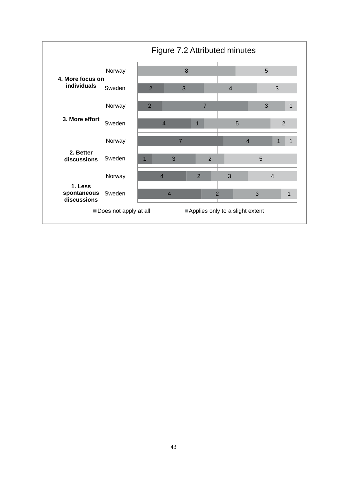

|                                |        | Figure 6.1. The MPS members' preferences<br>(individual loss functions) |   |   |                    |                                 |                |  |
|--------------------------------|--------|-------------------------------------------------------------------------|---|---|--------------------|---------------------------------|----------------|--|
| 3. Outputgap too<br>uncertain  | Norway |                                                                         | 2 |   | 3                  |                                 | 3              |  |
|                                | Sweden | $\overline{2}$                                                          |   | 1 |                    | 5                               |                |  |
| 2. Depends on<br>the situation | Norway | 2                                                                       |   | 3 |                    |                                 | $\overline{4}$ |  |
|                                | Sweden | $\overline{2}$                                                          |   |   |                    | $\overline{7}$                  |                |  |
|                                | Norway | 1                                                                       |   | 3 |                    | 3                               | 3              |  |
| 1. Overly simple               | Sweden | 1                                                                       |   |   |                    | $\overline{7}$                  |                |  |
| Does not apply at all          |        |                                                                         |   |   |                    | Applies only to a slight extent |                |  |
| Applies to some extent         |        |                                                                         |   |   | Applies completely |                                 |                |  |